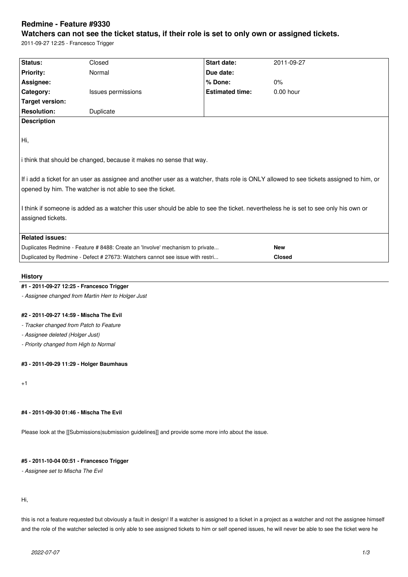# **Redmine - Feature #9330**

# **Watchers can not see the ticket status, if their role is set to only own or assigned tickets.**

2011-09-27 12:25 - Francesco Trigger

| Status:                                                                                                                                | Closed                    | <b>Start date:</b>     | 2011-09-27    |
|----------------------------------------------------------------------------------------------------------------------------------------|---------------------------|------------------------|---------------|
| <b>Priority:</b>                                                                                                                       | Normal                    | Due date:              |               |
| Assignee:                                                                                                                              |                           | % Done:                | 0%            |
| Category:                                                                                                                              | <b>Issues permissions</b> | <b>Estimated time:</b> | $0.00$ hour   |
| Target version:                                                                                                                        |                           |                        |               |
| <b>Resolution:</b>                                                                                                                     | Duplicate                 |                        |               |
| <b>Description</b>                                                                                                                     |                           |                        |               |
|                                                                                                                                        |                           |                        |               |
| Hi,                                                                                                                                    |                           |                        |               |
| i think that should be changed, because it makes no sense that way.                                                                    |                           |                        |               |
| If i add a ticket for an user as assignee and another user as a watcher, thats role is ONLY allowed to see tickets assigned to him, or |                           |                        |               |
| opened by him. The watcher is not able to see the ticket.                                                                              |                           |                        |               |
| I think if someone is added as a watcher this user should be able to see the ticket. nevertheless he is set to see only his own or     |                           |                        |               |
| assigned tickets.                                                                                                                      |                           |                        |               |
|                                                                                                                                        |                           |                        |               |
|                                                                                                                                        |                           |                        |               |
|                                                                                                                                        |                           |                        |               |
| Duplicates Redmine - Feature # 8488: Create an 'Involve' mechanism to private                                                          |                           |                        |               |
| Duplicated by Redmine - Defect # 27673: Watchers cannot see issue with restri                                                          |                           |                        | <b>Closed</b> |
| <b>Related issues:</b>                                                                                                                 |                           |                        | <b>New</b>    |

## **History**

## **#1 - 2011-09-27 12:25 - Francesco Trigger**

*- Assignee changed from Martin Herr to Holger Just*

#### **#2 - 2011-09-27 14:59 - Mischa The Evil**

*- Tracker changed from Patch to Feature*

*- Assignee deleted (Holger Just)*

*- Priority changed from High to Normal*

# **#3 - 2011-09-29 11:29 - Holger Baumhaus**

+1

# **#4 - 2011-09-30 01:46 - Mischa The Evil**

Please look at the [[Submissions|submission guidelines]] and provide some more info about the issue.

# **#5 - 2011-10-04 00:51 - Francesco Trigger**

*- Assignee set to Mischa The Evil*

Hi,

this is not a feature requested but obviously a fault in design! If a watcher is assigned to a ticket in a project as a watcher and not the assignee himself and the role of the watcher selected is only able to see assigned tickets to him or self opened issues, he will never be able to see the ticket were he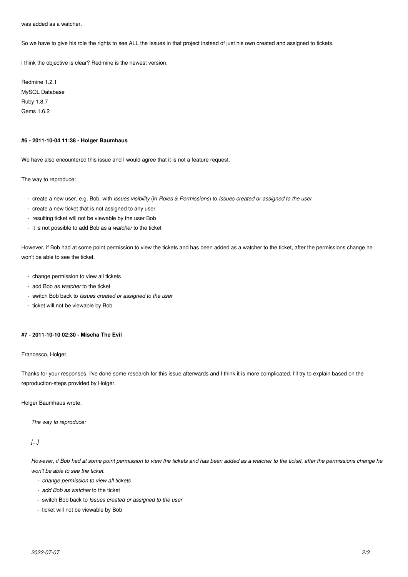was added as a watcher.

So we have to give his role the rights to see ALL the Issues in that project instead of just his own created and assigned to tickets.

i think the objective is clear? Redmine is the newest version:

Redmine 1.2.1 MySQL Database Ruby 1.8.7 Gems 1.6.2

#### **#6 - 2011-10-04 11:38 - Holger Baumhaus**

We have also encountered this issue and I would agree that it is not a feature request.

The way to reproduce:

- create a new user, e.g. Bob, with *issues visibility* (in *Roles & Permissions*) to *Issues created or assigned to the user*
- create a new ticket that is not assigned to any user
- resulting ticket will not be viewable by the user Bob
- it is not possible to add Bob as a *watcher* to the ticket

However, if Bob had at some point permission to view the tickets and has been added as a watcher to the ticket, after the permissions change he won't be able to see the ticket.

- change permission to view all tickets
- add Bob as *watcher* to the ticket
- switch Bob back to *Issues created or assigned to the user*
- ticket will not be viewable by Bob

#### **#7 - 2011-10-10 02:30 - Mischa The Evil**

Francesco, Holger,

Thanks for your responses. I've done some research for this issue afterwards and I think it is more complicated. I'll try to explain based on the reproduction-steps provided by Holger.

Holger Baumhaus wrote:

*The way to reproduce:*

*[...]*

*However, if Bob had at some point permission to view the tickets and has been added as a watcher to the ticket, after the permissions change he won't be able to see the ticket.*

- *change permission to view all tickets*
- *add Bob as watcher* to the ticket
- switch Bob back to *Issues created or assigned to the user*
- ticket will not be viewable by Bob